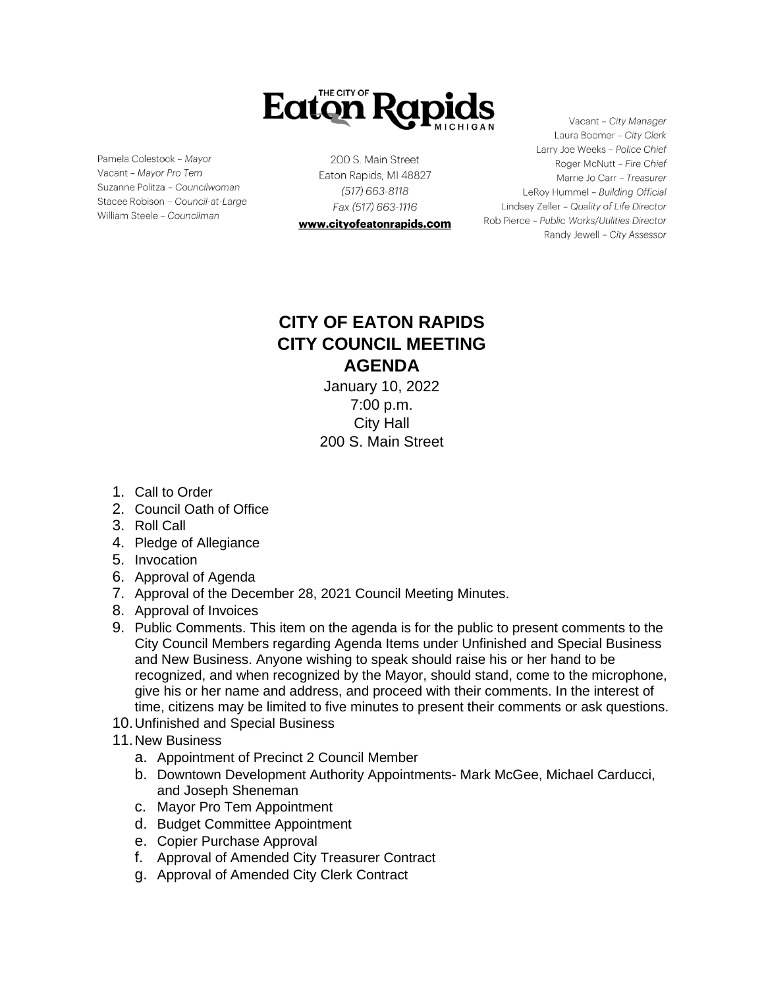

Pamela Colestock - Mayor Vacant - Mayor Pro Tem Suzanne Politza - Councilwoman Stacee Robison - Council-at-Large William Steele - Councilman

200 S. Main Street Eaton Rapids, MI 48827 (517) 663-8118 Fax (517) 663-1116

www.cityofeatonrapids.com

Vacant - City Manager Laura Boomer - City Clerk Larry Joe Weeks - Police Chief Roger McNutt - Fire Chief Marrie Jo Carr - Treasurer LeRoy Hummel - Building Official Lindsey Zeller - Quality of Life Director Rob Pierce - Public Works/Utilities Director Randy Jewell - City Assessor

## **CITY OF EATON RAPIDS CITY COUNCIL MEETING AGENDA**

January 10, 2022 7:00 p.m. City Hall 200 S. Main Street

- 1. Call to Order
- 2. Council Oath of Office
- 3. Roll Call
- 4. Pledge of Allegiance
- 5. Invocation
- 6. Approval of Agenda
- 7. Approval of the December 28, 2021 Council Meeting Minutes.
- 8. Approval of Invoices
- 9. Public Comments. This item on the agenda is for the public to present comments to the City Council Members regarding Agenda Items under Unfinished and Special Business and New Business. Anyone wishing to speak should raise his or her hand to be recognized, and when recognized by the Mayor, should stand, come to the microphone, give his or her name and address, and proceed with their comments. In the interest of time, citizens may be limited to five minutes to present their comments or ask questions.
- 10.Unfinished and Special Business
- 11.New Business
	- a. Appointment of Precinct 2 Council Member
	- b. Downtown Development Authority Appointments- Mark McGee, Michael Carducci, and Joseph Sheneman
	- c. Mayor Pro Tem Appointment
	- d. Budget Committee Appointment
	- e. Copier Purchase Approval
	- f. Approval of Amended City Treasurer Contract
	- g. Approval of Amended City Clerk Contract